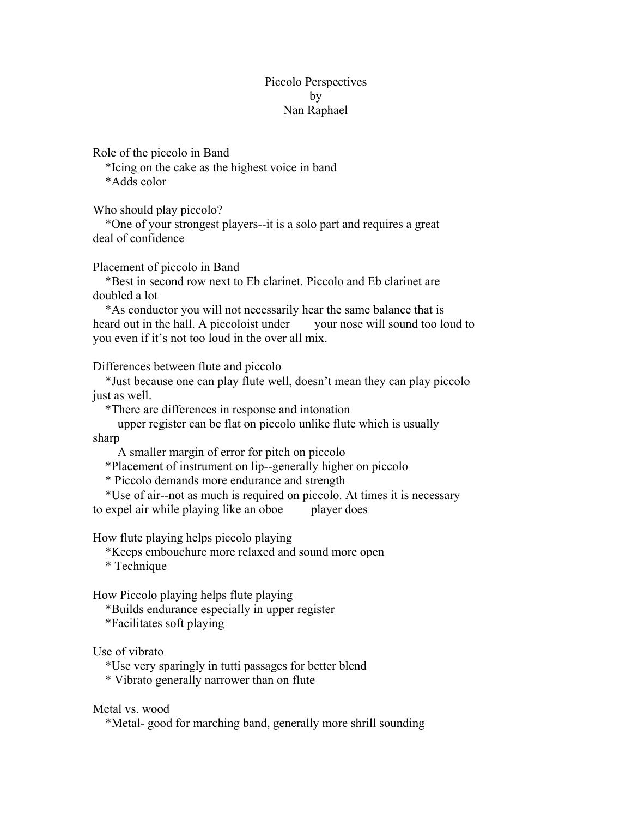## Piccolo Perspectives by Nan Raphael

Role of the piccolo in Band

 \*Icing on the cake as the highest voice in band \*Adds color

Who should play piccolo?

 \*One of your strongest players--it is a solo part and requires a great deal of confidence

Placement of piccolo in Band

 \*Best in second row next to Eb clarinet. Piccolo and Eb clarinet are doubled a lot

 \*As conductor you will not necessarily hear the same balance that is heard out in the hall. A piccoloist under your nose will sound too loud to you even if it's not too loud in the over all mix.

Differences between flute and piccolo

 \*Just because one can play flute well, doesn't mean they can play piccolo just as well.

\*There are differences in response and intonation

 upper register can be flat on piccolo unlike flute which is usually sharp

A smaller margin of error for pitch on piccolo

\*Placement of instrument on lip--generally higher on piccolo

\* Piccolo demands more endurance and strength

 \*Use of air--not as much is required on piccolo. At times it is necessary to expel air while playing like an oboe player does

How flute playing helps piccolo playing

\*Keeps embouchure more relaxed and sound more open

\* Technique

How Piccolo playing helps flute playing

 \*Builds endurance especially in upper register \*Facilitates soft playing

Use of vibrato

\*Use very sparingly in tutti passages for better blend

\* Vibrato generally narrower than on flute

Metal vs. wood

\*Metal- good for marching band, generally more shrill sounding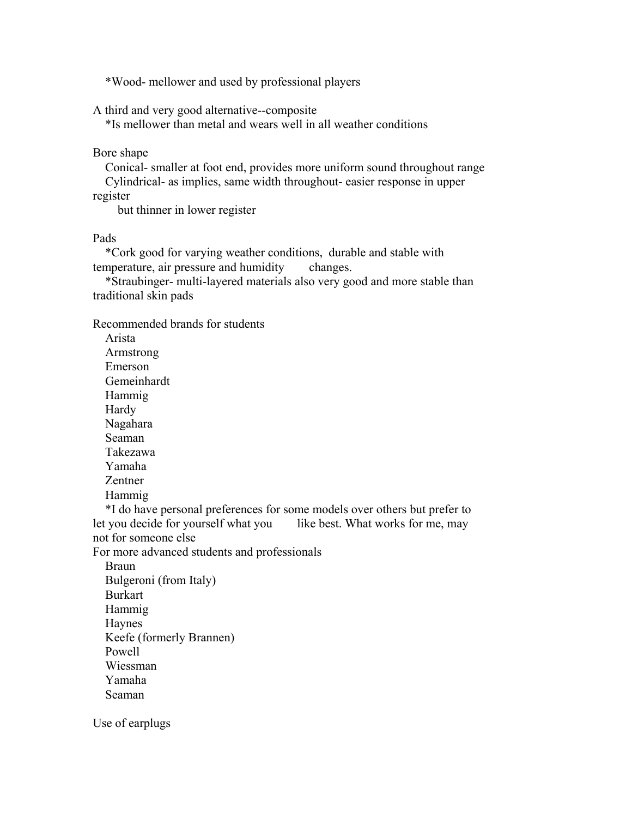\*Wood- mellower and used by professional players

A third and very good alternative--composite

\*Is mellower than metal and wears well in all weather conditions

Bore shape

 Conical- smaller at foot end, provides more uniform sound throughout range Cylindrical- as implies, same width throughout- easier response in upper

register

but thinner in lower register

Pads

 \*Cork good for varying weather conditions, durable and stable with temperature, air pressure and humidity changes.

 \*Straubinger- multi-layered materials also very good and more stable than traditional skin pads

Recommended brands for students

 Arista Armstrong Emerson Gemeinhardt Hammig Hardy Nagahara Seaman Takezawa Yamaha Zentner Hammig

 \*I do have personal preferences for some models over others but prefer to let you decide for yourself what you like best. What works for me, may not for someone else

For more advanced students and professionals

 Braun Bulgeroni (from Italy) Burkart Hammig Haynes Keefe (formerly Brannen) Powell Wiessman Yamaha Seaman

Use of earplugs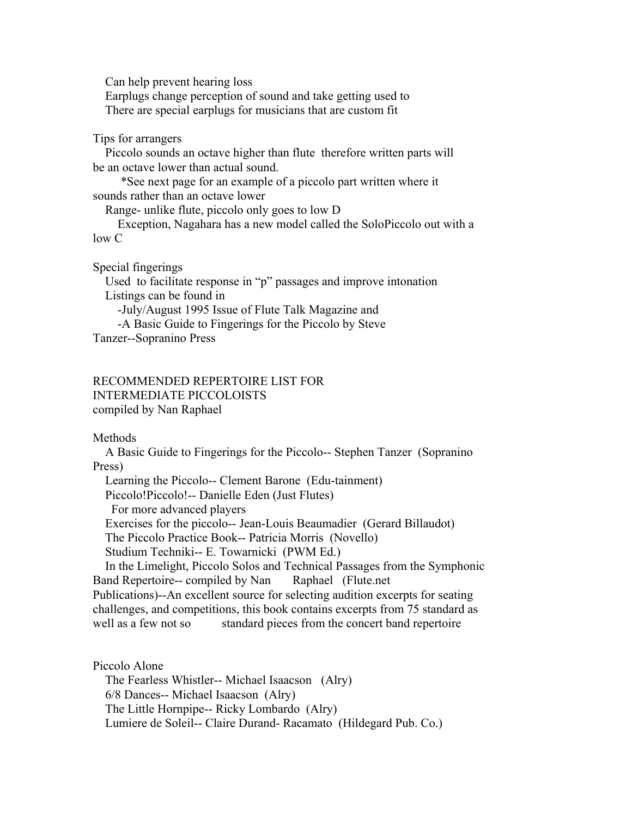Can help prevent hearing loss Earplugs change perception of sound and take getting used to There are special earplugs for musicians that are custom fit

Tips for arrangers

 Piccolo sounds an octave higher than flute therefore written parts will be an octave lower than actual sound.

 \*See next page for an example of a piccolo part written where it sounds rather than an octave lower

Range- unlike flute, piccolo only goes to low D

 Exception, Nagahara has a new model called the SoloPiccolo out with a low C

Special fingerings

 Used to facilitate response in "p" passages and improve intonation Listings can be found in -July/August 1995 Issue of Flute Talk Magazine and -A Basic Guide to Fingerings for the Piccolo by Steve

Tanzer--Sopranino Press

RECOMMENDED REPERTOIRE LIST FOR INTERMEDIATE PICCOLOISTS compiled by Nan Raphael

Methods

 A Basic Guide to Fingerings for the Piccolo-- Stephen Tanzer (Sopranino Press)

 Learning the Piccolo-- Clement Barone (Edu-tainment) Piccolo!Piccolo!-- Danielle Eden (Just Flutes) For more advanced players Exercises for the piccolo-- Jean-Louis Beaumadier (Gerard Billaudot) The Piccolo Practice Book-- Patricia Morris (Novello) Studium Techniki-- E. Towarnicki (PWM Ed.) In the Limelight, Piccolo Solos and Technical Passages from the Symphonic

Band Repertoire-- compiled by Nan Raphael (Flute.net Publications)--An excellent source for selecting audition excerpts for seating challenges, and competitions, this book contains excerpts from 75 standard as well as a few not so standard pieces from the concert band repertoire

Piccolo Alone The Fearless Whistler-- Michael Isaacson (Alry) 6/8 Dances-- Michael Isaacson (Alry) The Little Hornpipe-- Ricky Lombardo (Alry) Lumiere de Soleil-- Claire Durand- Racamato (Hildegard Pub. Co.)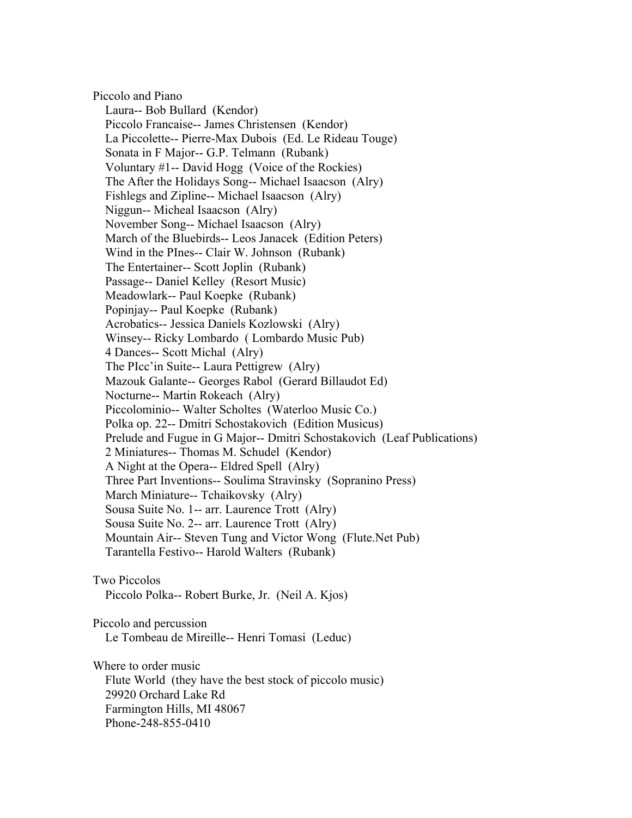Piccolo and Piano Laura-- Bob Bullard (Kendor) Piccolo Francaise-- James Christensen (Kendor) La Piccolette-- Pierre-Max Dubois (Ed. Le Rideau Touge) Sonata in F Major-- G.P. Telmann (Rubank) Voluntary #1-- David Hogg (Voice of the Rockies) The After the Holidays Song-- Michael Isaacson (Alry) Fishlegs and Zipline-- Michael Isaacson (Alry) Niggun-- Micheal Isaacson (Alry) November Song-- Michael Isaacson (Alry) March of the Bluebirds-- Leos Janacek (Edition Peters) Wind in the PInes-- Clair W. Johnson (Rubank) The Entertainer-- Scott Joplin (Rubank) Passage-- Daniel Kelley (Resort Music) Meadowlark-- Paul Koepke (Rubank) Popinjay-- Paul Koepke (Rubank) Acrobatics-- Jessica Daniels Kozlowski (Alry) Winsey-- Ricky Lombardo ( Lombardo Music Pub) 4 Dances-- Scott Michal (Alry) The PIcc'in Suite-- Laura Pettigrew (Alry) Mazouk Galante-- Georges Rabol (Gerard Billaudot Ed) Nocturne-- Martin Rokeach (Alry) Piccolominio-- Walter Scholtes (Waterloo Music Co.) Polka op. 22-- Dmitri Schostakovich (Edition Musicus) Prelude and Fugue in G Major-- Dmitri Schostakovich (Leaf Publications) 2 Miniatures-- Thomas M. Schudel (Kendor) A Night at the Opera-- Eldred Spell (Alry) Three Part Inventions-- Soulima Stravinsky (Sopranino Press) March Miniature-- Tchaikovsky (Alry) Sousa Suite No. 1-- arr. Laurence Trott (Alry) Sousa Suite No. 2-- arr. Laurence Trott (Alry) Mountain Air-- Steven Tung and Victor Wong (Flute.Net Pub) Tarantella Festivo-- Harold Walters (Rubank) Two Piccolos Piccolo Polka-- Robert Burke, Jr. (Neil A. Kjos) Piccolo and percussion Le Tombeau de Mireille-- Henri Tomasi (Leduc) Where to order music Flute World (they have the best stock of piccolo music) 29920 Orchard Lake Rd Farmington Hills, MI 48067 Phone-248-855-0410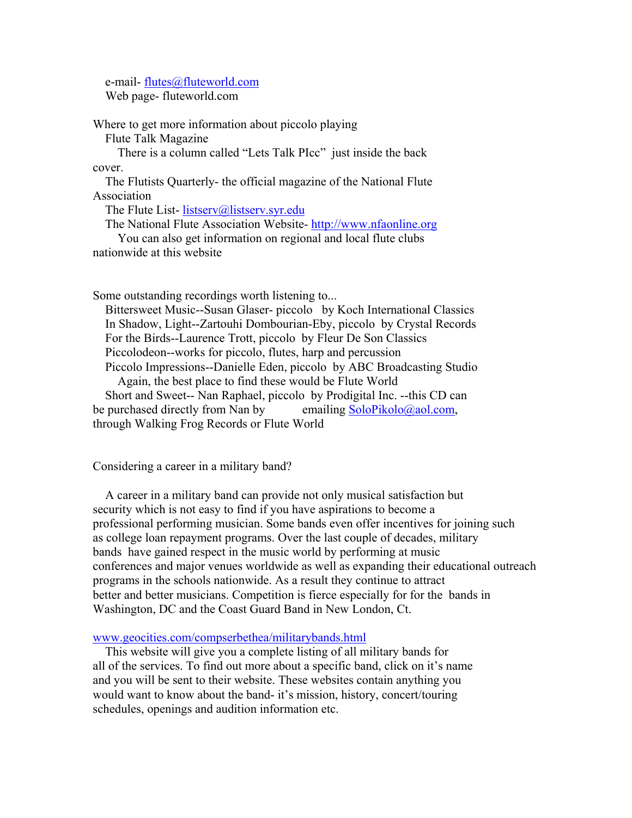e-mail- flutes@fluteworld.com Web page- fluteworld.com

Where to get more information about piccolo playing Flute Talk Magazine

 There is a column called "Lets Talk PIcc" just inside the back cover.

 The Flutists Quarterly- the official magazine of the National Flute Association

The Flute List- listserv@listserv.syr.edu

The National Flute Association Website- http://www.nfaonline.org

 You can also get information on regional and local flute clubs nationwide at this website

Some outstanding recordings worth listening to...

 Bittersweet Music--Susan Glaser- piccolo by Koch International Classics In Shadow, Light--Zartouhi Dombourian-Eby, piccolo by Crystal Records For the Birds--Laurence Trott, piccolo by Fleur De Son Classics Piccolodeon--works for piccolo, flutes, harp and percussion Piccolo Impressions--Danielle Eden, piccolo by ABC Broadcasting Studio Again, the best place to find these would be Flute World Short and Sweet-- Nan Raphael, piccolo by Prodigital Inc. --this CD can be purchased directly from Nan by emailing SoloPikolo@aol.com, through Walking Frog Records or Flute World

Considering a career in a military band?

 A career in a military band can provide not only musical satisfaction but security which is not easy to find if you have aspirations to become a professional performing musician. Some bands even offer incentives for joining such as college loan repayment programs. Over the last couple of decades, military bands have gained respect in the music world by performing at music conferences and major venues worldwide as well as expanding their educational outreach programs in the schools nationwide. As a result they continue to attract better and better musicians. Competition is fierce especially for for the bands in Washington, DC and the Coast Guard Band in New London, Ct.

## www.geocities.com/compserbethea/militarybands.html

 This website will give you a complete listing of all military bands for all of the services. To find out more about a specific band, click on it's name and you will be sent to their website. These websites contain anything you would want to know about the band- it's mission, history, concert/touring schedules, openings and audition information etc.